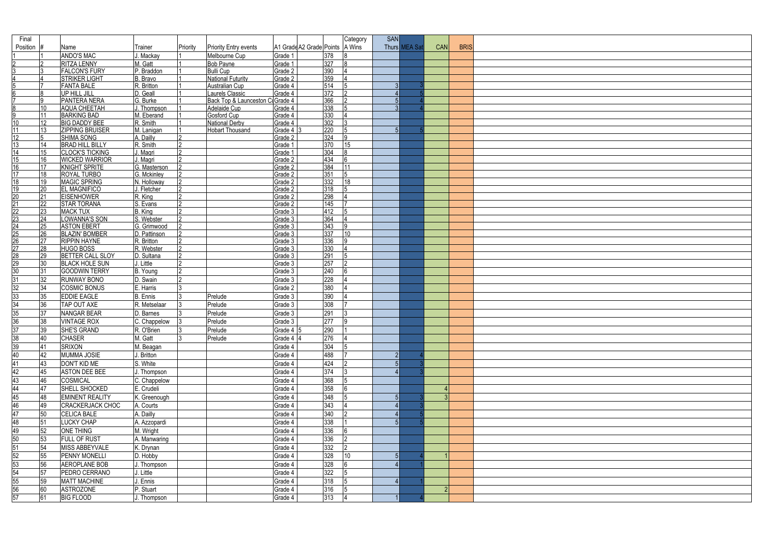| Final                              |                |                                                 |                    |                |                                 |                    |                            |            | Category       | <b>SAN</b>     |               |                |             |
|------------------------------------|----------------|-------------------------------------------------|--------------------|----------------|---------------------------------|--------------------|----------------------------|------------|----------------|----------------|---------------|----------------|-------------|
| Position                           | I#             | <b>Name</b>                                     | <b>Trainer</b>     | Priority       | <b>Priority Entry events</b>    |                    | A1 Grade A2 Grade   Points |            | A Wins         |                | Thurs MEA Sat | <b>CAN</b>     | <b>BRIS</b> |
|                                    |                | <b>ANDO'S MAC</b>                               | J. Mackay          |                | Melbourne Cup                   | Grade 1            |                            | 378        |                |                |               |                |             |
|                                    |                | <b>IRITZA LENNY</b>                             | M. Gatt            |                | <b>Bob Payne</b>                | Grade 1            |                            | 327        | 18             |                |               |                |             |
| $\frac{2}{3}$                      |                | <b>FALCON'S FURY</b>                            | P. Braddon         |                | <b>Bulli Cup</b>                | Grade 2            |                            | 390        |                |                |               |                |             |
|                                    |                | <b>STRIKER LIGHT</b>                            | B. Bravo           |                | <b>National Futurity</b>        | Grade 2            |                            | 359        |                |                |               |                |             |
| $\frac{4}{5}$                      |                | <b>IFANTA BALE</b>                              | R. Britton         |                | <b>Australian Cup</b>           | Grade 4            |                            | 514        |                | $\overline{3}$ |               |                |             |
|                                    | $\overline{8}$ | UP HILL JILL                                    | D. Geall           |                | <b>Laurels Classic</b>          | Grade 4            |                            | 372        | 2              | $\overline{4}$ |               |                |             |
|                                    | 9              | <b>PANTERA NERA</b>                             | G. Burke           |                | Back Top & Launceston ClGrade 4 |                    |                            | 366        | $\overline{2}$ | 5              |               |                |             |
| $\frac{8}{9}$                      | 10             | <b>AQUA CHEETAH</b>                             | J. Thompson        |                | <b>Adelaide Cup</b>             | Grade 4            |                            | 338        | $\overline{5}$ | 3              |               |                |             |
|                                    | 11             | <b>BARKING BAD</b>                              | M. Eberand         |                | <b>Gosford Cup</b>              | Grade 4            |                            | 330        |                |                |               |                |             |
| 10                                 | 12             | <b>BIG DADDY BEE</b>                            | R. Smith           |                | <b>National Derby</b>           | Grade 4            |                            | 302        | 3              |                |               |                |             |
| 11                                 | 13             | <b>ZIPPING BRUISER</b>                          | M. Lanigan         |                | <b>Hobart Thousand</b>          | Grade 4 3          |                            | 220        | $\overline{5}$ | 5              |               |                |             |
| $\frac{12}{13}$                    | 5              | <b>SHIMA SONG</b>                               | A. Dailly          |                |                                 | Grade 2            |                            | 324        | 9              |                |               |                |             |
| $\overline{14}$                    | 14<br>15       | <b>BRAD HILL BILLY</b>                          | R. Smith           |                |                                 | Grade 1            |                            | 370<br>304 | 15<br>18       |                |               |                |             |
| 15                                 | 16             | <b>CLOCK'S TICKING</b><br><b>WICKED WARRIOR</b> | . Magri<br>. Magri |                |                                 | Grade 1<br>Grade 2 |                            | 434        | 16             |                |               |                |             |
| 16                                 | 17             | <b>KNIGHT SPRITE</b>                            | G. Masterson       |                |                                 | Grade 2            |                            | 384        | 11             |                |               |                |             |
| 17                                 | 18             | <b>ROYAL TURBO</b>                              | G. Mckinley        |                |                                 | Grade 2            |                            | 351        | $\overline{5}$ |                |               |                |             |
| 18                                 | 19             | <b>MAGIC SPRING</b>                             | N. Holloway        |                |                                 | Grade 2            |                            | 332        | 18             |                |               |                |             |
| 19                                 | 20             | <b>EL MAGNIFICO</b>                             | . Fletcher         |                |                                 | Grade 2            |                            | 318        | $\overline{5}$ |                |               |                |             |
|                                    | 21             | <b>IEISENHOWER</b>                              | R. King            |                |                                 | Grade 2            |                            | 298        | $\overline{4}$ |                |               |                |             |
|                                    | 22             | <b>STAR TORANA</b>                              | S. Evans           |                |                                 | Grade 2            |                            | 145        |                |                |               |                |             |
|                                    | 23             | <b>MACK TUX</b>                                 | B. King            |                |                                 | Grade 3            |                            | 412        | $\overline{5}$ |                |               |                |             |
|                                    | 24             | LOWANNA'S SON                                   | S. Webster         |                |                                 | Grade 3            |                            | 364        | $\overline{4}$ |                |               |                |             |
|                                    | 25             | <b>ASTON EBERT</b>                              | G. Grimwood        | $\overline{2}$ |                                 | Grade 3            |                            | 343        | 9              |                |               |                |             |
|                                    | 26             | <b>BLAZIN' BOMBER</b>                           | D. Pattinson       |                |                                 | Grade 3            |                            | 337        | 10             |                |               |                |             |
|                                    | 27             | <b>RIPPIN HAYNE</b>                             | R. Britton         |                |                                 | Grade 3            |                            | 336        |                |                |               |                |             |
| 00 21 22 23 24 25 26 27 28 29 30   | 28             | <b>HUGO BOSS</b>                                | R. Webster         | $\Omega$       |                                 | Grade 3            |                            | 330        |                |                |               |                |             |
|                                    | 29             | <b>BETTER CALL SLOY</b>                         | D. Sultana         |                |                                 | Grade 3            |                            | 291        | 5              |                |               |                |             |
|                                    | 30             | <b>BLACK HOLE SUN</b>                           | J. Little          |                |                                 | Grade 3            |                            | 257        |                |                |               |                |             |
|                                    | 31             | <b>GOODWIN TERRY</b>                            | B. Young           |                |                                 | Grade 3            |                            | 240        |                |                |               |                |             |
| 31                                 | 32             | <b>RUNWAY BONO</b>                              | D. Swain           |                |                                 | Grade 3            |                            | 228        |                |                |               |                |             |
| 32                                 | 34             | <b>COSMIC BONUS</b>                             | E. Harris          |                |                                 | Grade 2            |                            | 380        |                |                |               |                |             |
|                                    | 35             | <b>EDDIE EAGLE</b>                              | <b>B.</b> Ennis    |                | Prelude                         | Grade 3            |                            | 390        |                |                |               |                |             |
| $\frac{33}{35}$ $\frac{35}{36}$    | 36             | TAP OUT AXE                                     | R. Metselaar       |                | Prelude                         | Grade 3            |                            | 308        |                |                |               |                |             |
|                                    | 37             | <b>NANGAR BEAR</b>                              | D. Barnes          |                | Prelude                         | Grade 3            |                            | 291        |                |                |               |                |             |
|                                    | 38             | <b>VINTAGE ROX</b>                              | C. Chappelow       |                | Prelude                         | Grade 3            |                            | 277        |                |                |               |                |             |
| $\overline{37}$                    | 39             | <b>SHE'S GRAND</b>                              | R. O'Brien         |                | Prelude                         | Grade $4 \mid 5$   |                            | 290        |                |                |               |                |             |
| $\overline{38}$                    | 40             | <b>CHASER</b>                                   | M. Gatt            |                | Prelude                         | Grade 4  4         |                            | 276        |                |                |               |                |             |
| 39                                 | 41             | <b>SRIXON</b>                                   | M. Beagan          |                |                                 | Grade 4            |                            | 304        |                |                |               |                |             |
| $\overline{40}$                    | 42             | <b>MUMMA JOSIE</b>                              | . Britton          |                |                                 | Grade 4            |                            | 488        |                | $\overline{2}$ |               |                |             |
| $\overline{41}$                    | 43             | <b>DON'T KID ME</b>                             | S. White           |                |                                 |                    |                            | 424        |                | 5              |               |                |             |
|                                    |                |                                                 |                    |                |                                 | Grade 4            |                            |            |                |                |               |                |             |
| $\overline{42}$                    | 45             | <b>ASTON DEE BEE</b>                            | J. Thompson        |                |                                 | Grade 4            |                            | 374        |                | 4              |               |                |             |
| 43                                 | 46             | <b>COSMICAL</b>                                 | C. Chappelow       |                |                                 | Grade 4            |                            | 368        |                |                |               |                |             |
|                                    | 147            | <b>SHELL SHOCKED</b>                            | E. Crudeli         |                |                                 | Grade 4            |                            | 358        |                |                |               | Д              |             |
| $\frac{44}{45}$<br>$\frac{46}{47}$ | 48             | <b>EMINENT REALITY</b>                          | K. Greenough       |                |                                 | Grade 4            |                            | 348        |                | 5              |               |                |             |
|                                    | 49             | <b>CRACKERJACK CHOC</b>                         | A. Courts          |                |                                 | Grade 4            |                            | 343        |                | 4              |               |                |             |
|                                    | 50             | <b>CELICA BALE</b>                              | A. Dailly          |                |                                 | Grade 4            |                            | 340        |                | 4              |               |                |             |
| 48                                 | 51             | <b>LUCKY CHAP</b>                               | A. Azzopardi       |                |                                 | Grade 4            |                            | 338        |                |                |               |                |             |
| 49                                 | 52             | <b>ONE THING</b>                                | M. Wright          |                |                                 | Grade 4            |                            | 336        |                |                |               |                |             |
| 50                                 | 53             | <b>FULL OF RUST</b>                             | A. Manwaring       |                |                                 | Grade 4            |                            | 336        |                |                |               |                |             |
| 51                                 | 54             | <b>MISS ABBEYVALE</b>                           | K. Drynan          |                |                                 | Grade 4            |                            | 332        | $\overline{2}$ |                |               |                |             |
| $\overline{52}$                    | 55             | <b>PENNY MONELLI</b>                            | D. Hobby           |                |                                 | Grade 4            |                            | 328        | 10             | 5              |               |                |             |
|                                    | 56             | <b>AEROPLANE BOB</b>                            | J. Thompson        |                |                                 | Grade 4            |                            | 328        |                | Δ              |               |                |             |
| $\frac{53}{54}$                    | ◡◡<br>57       | <b>PEDRO CERRANO</b>                            |                    |                |                                 | Grade 4            |                            | 322        | 5              |                |               |                |             |
|                                    |                |                                                 | J. Little          |                |                                 |                    |                            |            |                |                |               |                |             |
|                                    | 59             | <b>MATT MACHINE</b>                             | J. Ennis           |                |                                 | Grade 4            |                            | 318        | 5              | $\overline{4}$ |               |                |             |
| $\frac{55}{56}$ $\frac{5}{57}$     | 60             | <b>ASTROZONE</b>                                | P. Stuart          |                |                                 | Grade 4            |                            | 316        | 5              |                |               | $\overline{2}$ |             |
|                                    | 61             | <b>BIG FLOOD</b>                                | J. Thompson        |                |                                 | Grade 4            |                            | 313        | 4              | $\overline{1}$ |               |                |             |

| CAN            | <b>BRIS</b> |  |
|----------------|-------------|--|
|                |             |  |
|                |             |  |
|                |             |  |
|                |             |  |
|                |             |  |
|                |             |  |
|                |             |  |
|                |             |  |
|                |             |  |
|                |             |  |
|                |             |  |
|                |             |  |
|                |             |  |
|                |             |  |
|                |             |  |
|                |             |  |
|                |             |  |
|                |             |  |
|                |             |  |
|                |             |  |
|                |             |  |
|                |             |  |
|                |             |  |
|                |             |  |
|                |             |  |
|                |             |  |
|                |             |  |
|                |             |  |
|                |             |  |
|                |             |  |
|                |             |  |
|                |             |  |
|                |             |  |
|                |             |  |
|                |             |  |
|                |             |  |
| 4              |             |  |
| 3              |             |  |
|                |             |  |
|                |             |  |
|                |             |  |
|                |             |  |
|                |             |  |
| 1              |             |  |
|                |             |  |
|                |             |  |
|                |             |  |
| $\overline{2}$ |             |  |
|                |             |  |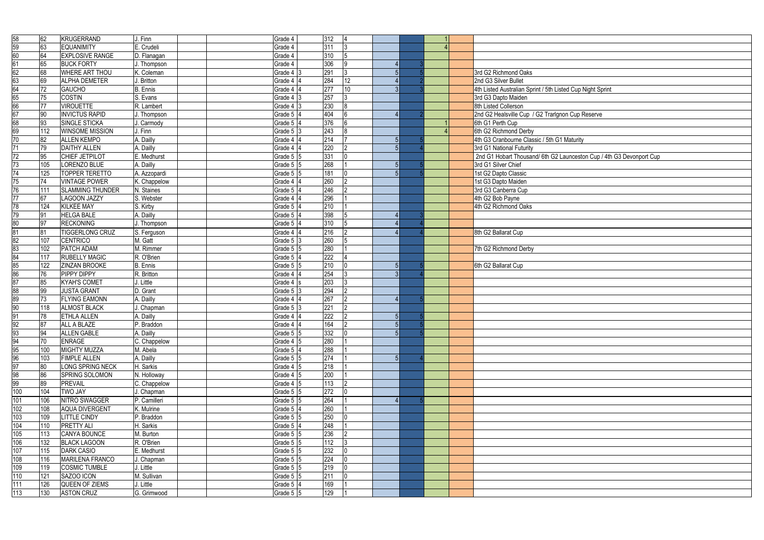| 58<br>62                            | KRUGERRAND              | J. Finn         | Grade 4           | $312$               |  |  |                                                                      |
|-------------------------------------|-------------------------|-----------------|-------------------|---------------------|--|--|----------------------------------------------------------------------|
| 59<br>63                            | <b>EQUANIMITY</b>       | . Crudeli       | Grade 4           | 311                 |  |  |                                                                      |
| 60<br>64                            | <b>EXPLOSIVE RANGE</b>  | D. Flanagan     | Grade 4           | 310                 |  |  |                                                                      |
| 61<br>65                            | <b>BUCK FORTY</b>       | . Thompson      | Grade 4           | 306                 |  |  |                                                                      |
| 62<br>68                            | WHERE ART THOU          | K. Coleman      | Grade $4 3$       | 291                 |  |  | 3rd G2 Richmond Oaks                                                 |
| 63<br>69                            | <b>ALPHA DEMETER</b>    | J. Britton      | Grade 4 4         | 284<br>$ 12\rangle$ |  |  | 2nd G3 Silver Bullet                                                 |
| 64<br>72                            | <b>GAUCHO</b>           | <b>B.</b> Ennis | Grade 4 4         | 277                 |  |  | 4th Listed Australian Sprint / 5th Listed Cup Night Sprint           |
| 65                                  | <b>COSTIN</b>           | S. Evans        | Grade $4 \mid 3$  | 257                 |  |  | 3rd G3 Dapto Maiden                                                  |
| 66                                  | <b>VIROUETTE</b>        | R. Lambert      | Grade 4 3         | 230                 |  |  | 8th Listed Collerson                                                 |
| 67<br>90                            | <b>INVICTUS RAPID</b>   | Thompson        | Grade $5 \vert 4$ | 404                 |  |  | 2nd G2 Healsville Cup / G2 Trarlgnon Cup Reserve                     |
| 68<br>93                            | <b>SINGLE STICKA</b>    | J. Carmody      | Grade 5 4         | 376                 |  |  | 6th G1 Perth Cup                                                     |
| 69<br>112                           | <b>WINSOME MISSION</b>  | J. Finn         | Grade 5 3         | 243                 |  |  | 6th G2 Richmond Derby                                                |
| 70<br>82                            | <b>ALLEN KEMPO</b>      | A. Dailly       | Grade 4 4         | 214                 |  |  | 4th G3 Cranbourne Classic / 5th G1 Maturity                          |
| 71<br>79                            | <b>DAITHY ALLEN</b>     | A. Dailly       | Grade $4 \vert 4$ | 220                 |  |  | 3rd G1 National Futurity                                             |
| $\frac{72}{73}$<br>95               | CHIEF JETPILOT          | E. Medhurst     | Grade $5 \mid 5$  | 331                 |  |  | 2nd G1 Hobart Thousand/ 6th G2 Launceston Cup / 4th G3 Devonport Cup |
| 105                                 | LORENZO BLUE            | A. Dailly       | Grade $5 \mid 5$  | 268                 |  |  | 3rd G1 Silver Chief                                                  |
| 74<br>125                           | TOPPER TERETTO          | A. Azzopardi    | Grade 5 5         | 181                 |  |  | 1st G2 Dapto Classic                                                 |
| 75                                  | <b>VINTAGE POWER</b>    | K. Chappelow    | Grade 4 4         | 260                 |  |  | 1st G3 Dapto Maiden                                                  |
| 76                                  | <b>SLAMMING THUNDER</b> | N. Staines      | Grade $5 \vert 4$ | 246                 |  |  | 3rd G3 Canberra Cup                                                  |
| $\overline{77}$                     | <b>LAGOON JAZZY</b>     | S. Webster      | Grade 4 4         | 296                 |  |  | 4th G2 Bob Payne                                                     |
| 78<br>124                           | <b>KILKEE MAY</b>       | S. Kirby        | Grade $5 \vert 4$ | 210                 |  |  | 4th G2 Richmond Oaks                                                 |
| 79                                  | <b>HELGA BALE</b>       | A. Dailly       | Grade 5 4         | 398                 |  |  |                                                                      |
| 80<br>97                            | <b>RECKONING</b>        | J. Thompson     | Grade 5  4        | 310                 |  |  |                                                                      |
| 81<br>81                            | <b>TIGGERLONG CRUZ</b>  | S. Ferguson     | Grade 4 4         | 216                 |  |  | 8th G2 Ballarat Cup                                                  |
| $\frac{82}{83}$<br>107              | <b>CENTRICO</b>         | M. Gatt         | Grade $5 \mid 3$  | 260                 |  |  |                                                                      |
| 102                                 | <b>PATCH ADAM</b>       | M. Rimmer       | Grade $5 \mid 5$  | 1280<br>יטשן        |  |  | 7th G2 Richmond Derby                                                |
| 84<br>117                           | <b>RUBELLY MAGIC</b>    | R. O'Brien      | Grade $5 \vert 4$ | 222                 |  |  |                                                                      |
| 85<br>122                           | <b>ZINZAN BROOKE</b>    | <b>B.</b> Ennis | Grade $5 \mid 5$  | 210                 |  |  | 6th G2 Ballarat Cup                                                  |
| 86                                  | <b>PIPPY DIPPY</b>      | R. Britton      | Grade 4 4         | 254                 |  |  |                                                                      |
| 87<br>85                            | <b>KYAH'S COMET</b>     | J. Little       | Grade 4  s        | 203                 |  |  |                                                                      |
| 88<br>99                            | <b>JUSTA GRANT</b>      | D. Grant        | Grade $5 \mid 3$  | 294                 |  |  |                                                                      |
| 89                                  | <b>FLYING EAMONN</b>    | A. Dailly       | Grade 4 4         | 267                 |  |  |                                                                      |
| 90<br>118                           | <b>ALMOST BLACK</b>     | J. Chapman      | Grade 5 3         | 221                 |  |  |                                                                      |
| 91<br>78                            | <b>ETHLA ALLEN</b>      | A. Dailly       | Grade 4 4         | $\boxed{222}$       |  |  |                                                                      |
| 92<br>87                            | <b>ALL A BLAZE</b>      | P. Braddon      | Grade 4 4         | 164                 |  |  |                                                                      |
| 93<br>94                            | <b>ALLEN GABLE</b>      | A. Dailly       | Grade 5 5         | $332$               |  |  |                                                                      |
| 94<br>70                            | <b>ENRAGE</b>           | C. Chappelow    | Grade 4 5         | 280                 |  |  |                                                                      |
| 95<br>100                           | <b>MIGHTY MUZZA</b>     | M. Abela        | Grade $5 \vert 4$ | 288                 |  |  |                                                                      |
| 96<br>103                           | <b>FIMPLE ALLEN</b>     | A. Dailly       | Grade $5 \mid 5$  | 274                 |  |  |                                                                      |
| $\overline{97}$<br>80               | <b>LONG SPRING NECK</b> | H. Sarkis       | Grade $4 \mid 5$  | 218                 |  |  |                                                                      |
| 98<br>86                            | <b>SPRING SOLOMON</b>   | N. Holloway     | Grade $4 \mid 5$  | 200                 |  |  |                                                                      |
| 99<br>89                            | PREVAIL                 | C. Chappelow    | Grade $4 \mid 5$  | 113                 |  |  |                                                                      |
| 104<br>100                          | <b>TWO JAY</b>          | J. Chapman      | Grade 5 5         | 272                 |  |  |                                                                      |
| 101<br>106                          | NITRO SWAGGER           | P. Camilleri    | Grade 5 5         | 264                 |  |  |                                                                      |
| $\frac{102}{103}$<br>108            | <b>AQUA DIVERGENT</b>   | K. Mulrine      | Grade 5 4         | 260                 |  |  |                                                                      |
| 109                                 | <b>LITTLE CINDY</b>     | P. Braddon      | Grade $5 \vert 5$ | 250                 |  |  |                                                                      |
| 104                                 | <b>PRETTY ALI</b>       | H. Sarkis       | Grade 5 4         | 248                 |  |  |                                                                      |
| 105<br>113                          | <b>CANYA BOUNCE</b>     | M. Burton       | Grade 5 5         | 236                 |  |  |                                                                      |
| 106<br>132                          | <b>BLACK LAGOON</b>     | R. O'Brien      | Grade $5 \mid 5$  | 112                 |  |  |                                                                      |
| 107<br>115                          | <b>DARK CASIO</b>       | E. Medhurst     | Grade $5 \mid 5$  | 232                 |  |  |                                                                      |
| $\frac{108}{109}$ $\frac{109}{110}$ | MARILENA FRANCO         | J. Chapman      | Grade $5 \mid 5$  | 224                 |  |  |                                                                      |
| 119                                 | COSMIC TUMBLE           | J. Little       | Grade 5 5         | 219                 |  |  |                                                                      |
| 121                                 | SAZOO ICON              | M. Sullivan     | Grade 5 5         | 211                 |  |  |                                                                      |
| 111<br>126<br>$\overline{113}$      | QUEEN OF ZIEMS          | J. Little       | Grade 5  4        | 169                 |  |  |                                                                      |
| 130                                 | <b>ASTON CRUZ</b>       | G. Grimwood     | Grade $5 \mid 5$  | 129                 |  |  |                                                                      |